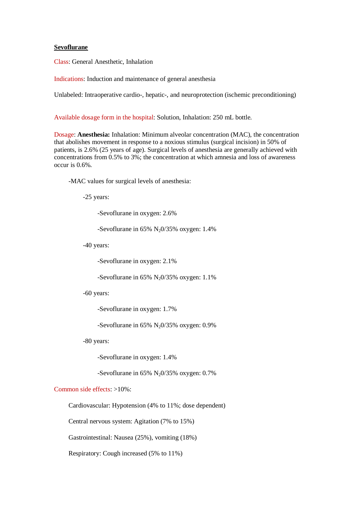## **Sevoflurane**

Class: General Anesthetic, Inhalation

Indications: Induction and maintenance of general anesthesia

Unlabeled: Intraoperative cardio-, hepatic-, and neuroprotection (ischemic preconditioning)

Available dosage form in the hospital: Solution, Inhalation: 250 mL bottle.

Dosage: **Anesthesia:** Inhalation: Minimum alveolar concentration (MAC), the concentration that abolishes movement in response to a noxious stimulus (surgical incision) in 50% of patients, is 2.6% (25 years of age). Surgical levels of anesthesia are generally achieved with concentrations from 0.5% to 3%; the concentration at which amnesia and loss of awareness occur is 0.6%.

-MAC values for surgical levels of anesthesia:

-25 years:

-Sevoflurane in oxygen: 2.6%

-Sevoflurane in 65%  $N_2O/35\%$  oxygen: 1.4%

-40 years:

-Sevoflurane in oxygen: 2.1%

-Sevoflurane in 65%  $N_2O/35%$  oxygen: 1.1%

-60 years:

-Sevoflurane in oxygen: 1.7%

-Sevoflurane in  $65\%$  N<sub>2</sub>0/35% oxygen: 0.9%

-80 years:

-Sevoflurane in oxygen: 1.4%

-Sevoflurane in 65%  $N_2O/35%$  oxygen: 0.7%

## Common side effects: >10%:

Cardiovascular: Hypotension (4% to 11%; dose dependent)

Central nervous system: Agitation (7% to 15%)

Gastrointestinal: Nausea (25%), vomiting (18%)

Respiratory: Cough increased (5% to 11%)